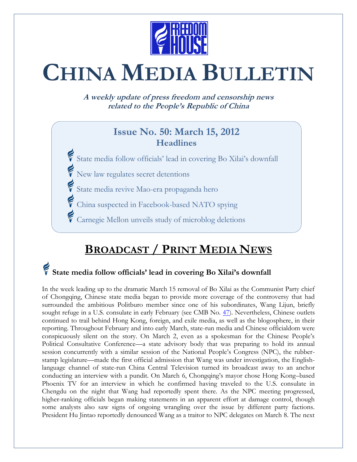

# **CHINA MEDIA BULLETIN**

**A weekly update of press freedom and censorship news related to the People's Republic of China**

#### **Issue No. 50: March 15, 2012 Headlines**

State media follow officials' lead in covering Bo Xilai's downfall

Rew law regulates secret detentions

State media revive Mao-era propaganda hero

China suspected in Facebook-based NATO spying

Carnegie Mellon unveils study of microblog deletions

### **BROADCAST / PRINT MEDIA NEWS**

#### **State media follow officials' lead in covering Bo Xilai's downfall**

In the week leading up to the dramatic March 15 removal of Bo Xilai as the Communist Party chief of Chongqing, Chinese state media began to provide more coverage of the controversy that had surrounded the ambitious Politburo member since one of his subordinates, Wang Lijun, briefly sought refuge in a U.S. consulate in early February (see CMB No. [47\)](http://www.freedomhouse.org/article/china-media-bulletin-issue-no-47#Mum). Nevertheless, Chinese outlets continued to trail behind Hong Kong, foreign, and exile media, as well as the blogosphere, in their reporting. Throughout February and into early March, state-run media and Chinese officialdom were conspicuously silent on the story. On March 2, even as a spokesman for the Chinese People's Political Consultative Conference—a state advisory body that was preparing to hold its annual session concurrently with a similar session of the National People's Congress (NPC), the rubberstamp legislature—made the first official admission that Wang was under investigation, the Englishlanguage channel of state-run China Central Television turned its broadcast away to an anchor conducting an interview with a pundit. On March 6, Chongqing's mayor chose Hong Kong–based Phoenix TV for an interview in which he confirmed having traveled to the U.S. consulate in Chengdu on the night that Wang had reportedly spent there. As the NPC meeting progressed, higher-ranking officials began making statements in an apparent effort at damage control, though some analysts also saw signs of ongoing wrangling over the issue by different party factions. President Hu Jintao reportedly denounced Wang as a traitor to NPC delegates on March 8. The next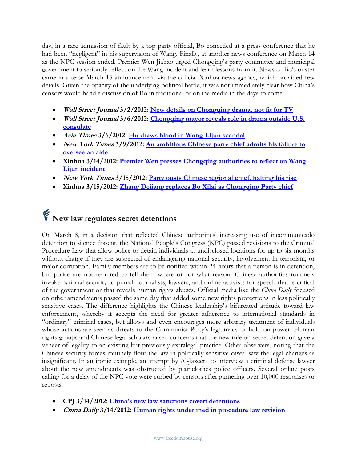day, in a rare admission of fault by a top party official, Bo conceded at a press conference that he had been "negligent" in his supervision of Wang. Finally, at another news conference on March 14 as the NPC session ended, Premier Wen Jiabao urged Chongqing's party committee and municipal government to seriously reflect on the Wang incident and learn lessons from it. News of Bo's ouster came in a terse March 15 announcement via the official Xinhua news agency, which provided few details. Given the opacity of the underlying political battle, it was not immediately clear how China's censors would handle discussion of Bo in traditional or online media in the days to come.

- **Wall Street Journal 3/2/2012: [New details on Chongqing drama, not fit for TV](http://blogs.wsj.com/chinarealtime/2012/03/02/new-details-on-chongqing-drama-not-fit-for-tv/)**
- **Wall Street Journal 3/6/2012: [Chongqing mayor reveals role in drama outside U.S.](http://blogs.wsj.com/chinarealtime/2012/03/06/chongqing-mayor-reveals-role-in-drama-outside-u-s-consulate)  [consulate](http://blogs.wsj.com/chinarealtime/2012/03/06/chongqing-mayor-reveals-role-in-drama-outside-u-s-consulate)**
- **Asia Times 3/6/2012: [Hu draws blood in Wang Lijun scandal](http://www.atimes.com/atimes/China/NC06Ad02.html)**
- **New York Times 3/9/2012: [An ambitious Chinese party chief admits his failure to](http://www.nytimes.com/2012/03/10/world/asia/bo-xilai-an-ambitious-chinese-party-chief-admits-failure.html)  [oversee an aide](http://www.nytimes.com/2012/03/10/world/asia/bo-xilai-an-ambitious-chinese-party-chief-admits-failure.html)**
- **Xinhua 3/14/2012: [Premier Wen presses Chongqing authorities to reflect on Wang](http://news.xinhuanet.com/english/china/2012-03/14/c_131466824.htm)  [Lijun incident](http://news.xinhuanet.com/english/china/2012-03/14/c_131466824.htm)**
- **New York Times 3/15/2012: [Party ousts Chinese regional chief, halting his rise](http://www.nytimes.com/2012/03/16/world/asia/bo-xilai-ousted-from-communist-party-post-in-china.html)**
- **Xinhua 3/15/2012: [Zhang Dejiang replaces Bo Xilai as Chongqing Party chief](http://news.xinhuanet.com/english/china/2012-03/15/c_131468566.htm)**

## **New law regulates secret detentions**

On March 8, in a decision that reflected Chinese authorities' increasing use of incommunicado detention to silence dissent, the National People's Congress (NPC) passed revisions to the Criminal Procedure Law that allow police to detain individuals at undisclosed locations for up to six months without charge if they are suspected of endangering national security, involvement in terrorism, or major corruption. Family members are to be notified within 24 hours that a person is in detention, but police are not required to tell them where or for what reason. Chinese authorities routinely invoke national security to punish journalists, lawyers, and online activists for speech that is critical of the government or that reveals human rights abuses. Official media like the *China Daily* focused on other amendments passed the same day that added some new rights protections in less politically sensitive cases. The difference highlights the Chinese leadership's bifurcated attitude toward law enforcement, whereby it accepts the need for greater adherence to international standards in "ordinary" criminal cases, but allows and even encourages more arbitrary treatment of individuals whose actions are seen as threats to the Communist Party's legitimacy or hold on power. Human rights groups and Chinese legal scholars raised concerns that the new rule on secret detention gave a veneer of legality to an existing but previously extralegal practice. Other observers, noting that the Chinese security forces routinely flout the law in politically sensitive cases, saw the legal changes as insignificant. In an ironic example, an attempt by Al-Jazeera to interview a criminal defense lawyer about the new amendments was obstructed by plainclothes police officers. Several online posts calling for a delay of the NPC vote were curbed by censors after garnering over 10,000 responses or reposts.

- **CPJ 3/14/2012: [China's new law sanctions covert detentions](http://www.cpj.org/2012/03/chinas-new-law-sanctions-covert-detentions.php)**
- **China Daily 3/14/2012: [Human rights underlined in procedure law revision](http://www.chinadaily.com.cn/china/2012-03/14/content_14833037.htm)**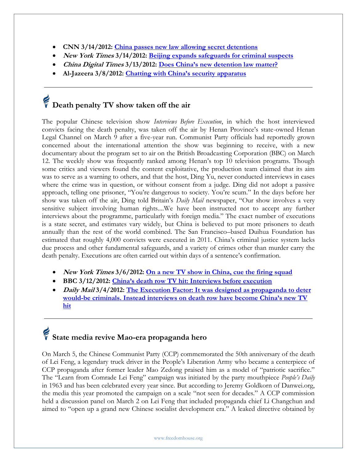- **CNN 3/14/2012: [China passes new law allowing secret detentions](http://www.cnn.com/2012/03/14/world/asia/china-criminal-law/)**
- **New York Times 3/14/2012: [Beijing expands safeguards for criminal suspects](http://www.nytimes.com/2012/03/15/world/asia/china-passes-new-safeguards-for-criminal-suspects-though-secret-detentions-by-police-are-still-allowed.html)**
- **China Digital Times 3/13/2012: [Does China's new detention law matter?](http://chinadigitaltimes.net/2012/03/does-chinas-new-detention-law-matter)**
- **Al-Jazeera 3/8/2012: [Chatting with China's security apparatus](http://blogs.aljazeera.com/asia/2012/03/08/chatting-chinas-security-apparatus)**

### **Death penalty TV show taken off the air**

The popular Chinese television show *Interviews Before Execution*, in which the host interviewed convicts facing the death penalty, was taken off the air by Henan Province's state-owned Henan Legal Channel on March 9 after a five-year run. Communist Party officials had reportedly grown concerned about the international attention the show was beginning to receive, with a new documentary about the program set to air on the British Broadcasting Corporation (BBC) on March 12. The weekly show was frequently ranked among Henan's top 10 television programs. Though some critics and viewers found the content exploitative, the production team claimed that its aim was to serve as a warning to others, and that the host, Ding Yu, never conducted interviews in cases where the crime was in question, or without consent from a judge. Ding did not adopt a passive approach, telling one prisoner, "You're dangerous to society. You're scum." In the days before her show was taken off the air, Ding told Britain's *Daily Mail* newspaper, "Our show involves a very sensitive subject involving human rights....We have been instructed not to accept any further interviews about the programme, particularly with foreign media." The exact number of executions is a state secret, and estimates vary widely, but China is believed to put more prisoners to death annually than the rest of the world combined. The San Francisco–based Duihua Foundation has estimated that roughly 4,000 convicts were executed in 2011. China's criminal justice system lacks due process and other fundamental safeguards, and a variety of crimes other than murder carry the death penalty. Executions are often carried out within days of a sentence's confirmation.

- **New York Times 3/6/2012: [On a new TV show in China, cue the firing squad](http://rendezvous.blogs.nytimes.com/2012/03/06/on-a-new-tv-show-in-china-cue-the-firing-squad/?emc=eta1)**
- **BBC 3/12/2012: [China's death row TV hit: Interviews before execution](http://www.bbc.co.uk/news/magazine-17303746)**
- **Daily Mail 3/4/2012: [The Execution Factor: It was designed as propaganda to deter](http://www.dailymail.co.uk/news/article-2109756/The-Execution-Factor-Interviews-death-row-Chinas-new-TV-hit.html)  would-[be criminals. Instead interviews on death row have become China's new TV](http://www.dailymail.co.uk/news/article-2109756/The-Execution-Factor-Interviews-death-row-Chinas-new-TV-hit.html)  [hit](http://www.dailymail.co.uk/news/article-2109756/The-Execution-Factor-Interviews-death-row-Chinas-new-TV-hit.html)**

### **State media revive Mao-era propaganda hero**

On March 5, the Chinese Communist Party (CCP) commemorated the 50th anniversary of the death of Lei Feng, a legendary truck driver in the People's Liberation Army who became a centerpiece of CCP propaganda after former leader Mao Zedong praised him as a model of "patriotic sacrifice." The "Learn from Comrade Lei Feng" campaign was initiated by the party mouthpiece *People's Daily* in 1963 and has been celebrated every year since. But according to Jeremy Goldkorn of Danwei.org, the media this year promoted the campaign on a scale "not seen for decades." A CCP commission held a discussion panel on March 2 on Lei Feng that included propaganda chief Li Changchun and aimed to "open up a grand new Chinese socialist development era." A leaked directive obtained by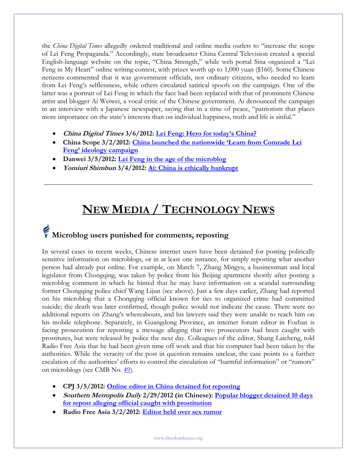the *China Digital Times* allegedly ordered traditional and online media outlets to "increase the scope of Lei Feng Propaganda." Accordingly, state broadcaster China Central Television created a special English-language website on the topic, "China Strength," while web portal Sina organized a "Lei Feng in My Heart" online writing contest, with prizes worth up to 1,000 yuan (\$160). Some Chinese netizens commented that it was government officials, not ordinary citizens, who needed to learn from Lei Feng's selflessness, while others circulated satirical spoofs on the campaign. One of the latter was a portrait of Lei Feng in which the face had been replaced with that of prominent Chinese artist and blogger Ai Weiwei, a vocal critic of the Chinese government. Ai denounced the campaign in an interview with a Japanese newspaper, saying that in a time of peace, "patriotism that places more importance on the state's interests than on individual happiness, truth and life is sinful."

- **China Digital Times 3/6/2012: Lei Fen[g: Hero for today's China?](http://chinadigitaltimes.net/2012/03/lei-feng-hero-for-todays-china/)**
- **China Scope 3/2/2012: [China launched the nationwide 'Learn from Comrade Lei](http://chinascope.org/main/content/view/4339/106/)  [Feng' ideology campaign](http://chinascope.org/main/content/view/4339/106/)**
- **Danwei 3/5/2012: [Lei Feng in the age of the microblog](http://www.danwei.com/lei-feng-in-the-age-of-the-microblog)**
- **Yomiuri Shimbun 3/4/2012: [Ai: China is ethically bankrupt](http://www.asiaone.com/News/AsiaOne%2BNews/Asia/Story/A1Story20120304-331475.html)**

#### **NEW MEDIA / TECHNOLOGY NEWS**

# **Microblog users punished for comments, reposting**

In several cases in recent weeks, Chinese internet users have been detained for posting politically sensitive information on microblogs, or in at least one instance, for simply reposting what another person had already put online. For example, on March 7, Zhang Mingyu, a businessman and local legislator from Chongqing, was taken by police from his Beijing apartment shortly after posting a microblog comment in which he hinted that he may have information on a scandal surrounding former Chongqing police chief Wang Lijun (see above). Just a few days earlier, Zhang had reported on his microblog that a Chongqing official known for ties to organized crime had committed suicide; the death was later confirmed, though police would not indicate the cause. There were no additional reports on Zhang's whereabouts, and his lawyers said they were unable to reach him on his mobile telephone. Separately, in Guangdong Province, an internet forum editor in Foshan is facing prosecution for reposting a message alleging that two prosecutors had been caught with prostitutes, but were released by police the next day. Colleagues of the editor, Shang Laicheng, told Radio Free Asia that he had been given time off work and that his computer had been taken by the authorities. While the veracity of the post in question remains unclear, the case points to a further escalation of the authorities' efforts to control the circulation of "harmful information" or "rumors" on microblogs (see CMB No. [49\)](http://www.freedomhouse.org/article/china-media-bulletin-issue-no-49).

- **CPJ 3/5/2012: [Online editor in China detained for reposting](http://www.cpj.org/2012/03/online-editor-in-china-detained-for-reposting.php)**
- **Southern Metropolis Daily 2/29/2012 (in Chinese): [Popular blogger detained 10 days](http://news.dayoo.com/foshan/201202/29/73438_22365312_4.htm)  [for repost alleging official caught with prostitution](http://news.dayoo.com/foshan/201202/29/73438_22365312_4.htm)**
- **Radio Free Asia 3/2/2012: [Editor held over sex rumor](http://www.rfa.org/english/news/china/prostitution-03022012101918.html)**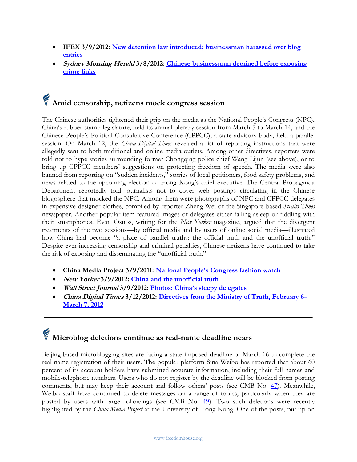- **IFEX 3/9/2012: [New detention law introduced; businessman harassed over blog](http://www.ifex.org/china/2012/03/09/zhang_mingyu)  [entries](http://www.ifex.org/china/2012/03/09/zhang_mingyu)**
- **Sydney Morning Herald 3/8/2012: [Chinese businessman detained before exposing](http://www.smh.com.au/technology/technology-news/chinese-businessman-detained-before-exposing-crime-links-20120307-1ukwh.html)  [crime links](http://www.smh.com.au/technology/technology-news/chinese-businessman-detained-before-exposing-crime-links-20120307-1ukwh.html)**

### **Amid censorship, netizens mock congress session**

The Chinese authorities tightened their grip on the media as the National People's Congress (NPC), China's rubber-stamp legislature, held its annual plenary session from March 5 to March 14, and the Chinese People's Political Consultative Conference (CPPCC), a state advisory body, held a parallel session. On March 12, the *China Digital Times* revealed a list of reporting instructions that were allegedly sent to both traditional and online media outlets. Among other directives, reporters were told not to hype stories surrounding former Chongqing police chief Wang Lijun (see above), or to bring up CPPCC members' suggestions on protecting freedom of speech. The media were also banned from reporting on "sudden incidents," stories of local petitioners, food safety problems, and news related to the upcoming election of Hong Kong's chief executive. The Central Propaganda Department reportedly told journalists not to cover web postings circulating in the Chinese blogosphere that mocked the NPC. Among them were photographs of NPC and CPPCC delegates in expensive designer clothes, compiled by reporter Zheng Wei of the Singapore-based *Straits Times* newspaper. Another popular item featured images of delegates either falling asleep or fiddling with their smartphones. Evan Osnos, writing for the *New Yorker* magazine, argued that the divergent treatments of the two sessions—by official media and by users of online social media—illustrated how China had become "a place of parallel truths: the official truth and the unofficial truth." Despite ever-increasing censorship and criminal penalties, Chinese netizens have continued to take the risk of exposing and disseminating the "unofficial truth."

- **China Media Project 3/9/2011: [National People's Congress fashion watch](http://cmp.hku.hk/2012/03/09/20273/)**
- **New Yorker 3/9/2012: [China and the unofficial truth](http://www.newyorker.com/online/blogs/evanosnos/2012/03/china-and-the-unofficial-truth.html)**
- **Wall Street Journal 3/9/2012: [Photos: China's sleepy delegates](http://blogs.wsj.com/chinarealtime/2012/03/09/photos-chinas-sleepy-delegates/)**
- **China Digital Times 3/12/2012: [Directives from the Ministry of Truth, February 6](http://chinadigitaltimes.net/2012/03/directives-from-the-ministry-of-truth-feb-6-mar-7-2012/)– [March 7, 2012](http://chinadigitaltimes.net/2012/03/directives-from-the-ministry-of-truth-feb-6-mar-7-2012/)**

### **Microblog deletions continue as real-name deadline nears**

Beijing-based microblogging sites are facing a state-imposed deadline of March 16 to complete the real-name registration of their users. The popular platform Sina Weibo has reported that about 60 percent of its account holders have submitted accurate information, including their full names and mobile-telephone numbers. Users who do not register by the deadline will be blocked from posting comments, but may keep their account and follow others' posts (see CMB No. [47\)](http://www.freedomhouse.org/article/china-media-bulletin-issue-no-47#Party). Meanwhile, Weibo staff have continued to delete messages on a range of topics, particularly when they are posted by users with large followings (see CMB No. [49\)](http://www.freedomhouse.org/article/china-media-bulletin-issue-no-49#Microblog%20highlights). Two such deletions were recently highlighted by the *China Media Project* at the University of Hong Kong. One of the posts, put up on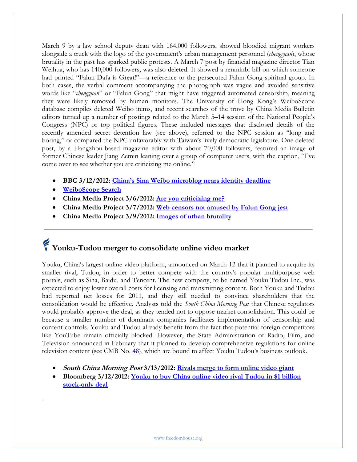March 9 by a law school deputy dean with 164,000 followers, showed bloodied migrant workers alongside a truck with the logo of the government's urban management personnel (*chengguan*), whose brutality in the past has sparked public protests. A March 7 post by financial magazine director Tian Weihua, who has 140,000 followers, was also deleted. It showed a renminbi bill on which someone had printed "Falun Dafa is Great!"—a reference to the persecuted Falun Gong spiritual group. In both cases, the verbal comment accompanying the photograph was vague and avoided sensitive words like "*chengguan*" or "Falun Gong" that might have triggered automated censorship, meaning they were likely removed by human monitors. The University of Hong Kong's WeiboScope database compiles deleted Weibo items, and recent searches of the trove by China Media Bulletin editors turned up a number of postings related to the March 5–14 session of the National People's Congress (NPC) or top political figures. These included messages that disclosed details of the recently amended secret detention law (see above), referred to the NPC session as "long and boring," or compared the NPC unfavorably with Taiwan's lively democratic legislature. One deleted post, by a Hangzhou-based magazine editor with about 70,000 followers, featured an image of former Chinese leader Jiang Zemin leaning over a group of computer users, with the caption, "I've come over to see whether you are criticizing me online."

- **BBC 3/12/2012: [China's Sina Weibo microblog nears identity deadline](http://www.bbc.co.uk/news/technology-17337252)**
- **[WeiboScope Search](http://research.jmsc.hku.hk/social/search.py/sinaweibo/#lastdeleted)**
- **China Media Project 3/6/2012: [Are you criticizing me?](http://cmp.hku.hk/2012/03/06/20113/)**
- **China Media Project 3/7/2012: [Web censors not amused by Falun Gong jest](http://cmp.hku.hk/2012/03/07/20129)**
- **China Media Project 3/9/2012: [Images of urban brutality](http://cmp.hku.hk/2012/03/09/20302/)**

# **Youku-Tudou merger to consolidate online video market**

Youku, China's largest online video platform, announced on March 12 that it planned to acquire its smaller rival, Tudou, in order to better compete with the country's popular multipurpose web portals, such as Sina, Baidu, and Tencent. The new company, to be named Youku Tudou Inc., was expected to enjoy lower overall costs for licensing and transmitting content. Both Youku and Tudou had reported net losses for 2011, and they still needed to convince shareholders that the consolidation would be effective. Analysts told the *South China Morning Post* that Chinese regulators would probably approve the deal, as they tended not to oppose market consolidation. This could be because a smaller number of dominant companies facilitates implementation of censorship and content controls. Youku and Tudou already benefit from the fact that potential foreign competitors like YouTube remain officially blocked. However, the State Administration of Radio, Film, and Television announced in February that it planned to develop comprehensive regulations for online television content (see CMB No. [48](http://www.freedomhouse.org/article/china-media-bulletin-issue-no-48#Regulator%20plans)), which are bound to affect Youku Tudou's business outlook.

- **South China Morning Post 3/13/2012: [Rivals merge to form online video giant](http://www.scmp.com/portal/site/SCMP/menuitem.2af62ecb329d3d7733492d9253a0a0a0/?vgnextoid=408d2a1c69706310VgnVCM100000360a0a0aRCRD&ss=China&s=News)**
- **Bloomberg 3/12/2012: [Youku to buy China online video rival Tudou in \\$1 billion](http://www.bloomberg.com/news/2012-03-12/youku-to-buy-china-online-video-rival-tudou-in-1-billion-stock-only-deal.html)  [stock-only deal](http://www.bloomberg.com/news/2012-03-12/youku-to-buy-china-online-video-rival-tudou-in-1-billion-stock-only-deal.html)**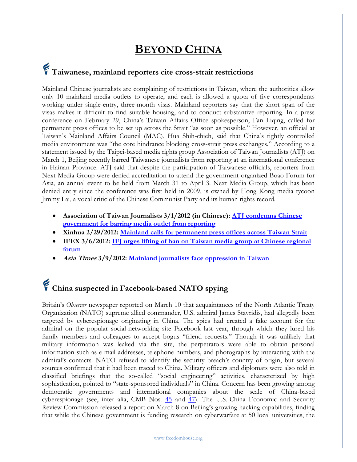#### **BEYOND CHINA**

#### **Taiwanese, mainland reporters cite cross-strait restrictions**

Mainland Chinese journalists are complaining of restrictions in Taiwan, where the authorities allow only 10 mainland media outlets to operate, and each is allowed a quota of five correspondents working under single-entry, three-month visas. Mainland reporters say that the short span of the visas makes it difficult to find suitable housing, and to conduct substantive reporting. In a press conference on February 29, China's Taiwan Affairs Office spokesperson, Fan Liqing, called for permanent press offices to be set up across the Strait "as soon as possible." However, an official at Taiwan's Mainland Affairs Council (MAC), Hua Shih-chieh, said that China's tightly controlled media environment was "the core hindrance blocking cross-strait press exchanges." According to a statement issued by the Taipei-based media rights group Association of Taiwan Journalists (ATJ) on March 1, Beijing recently barred Taiwanese journalists from reporting at an international conference in Hainan Province. ATJ said that despite the participation of Taiwanese officials, reporters from Next Media Group were denied accreditation to attend the government-organized Boao Forum for Asia, an annual event to be held from March 31 to April 3. Next Media Group, which has been denied entry since the conference was first held in 2009, is owned by Hong Kong media tycoon Jimmy Lai, a vocal critic of the Chinese Communist Party and its human rights record.

- **Association of Taiwan Journalists 3/1/2012 (in Chinese): [ATJ condemns Chinese](http://atj.twbbs.org/tai-wan-xin-wen-ji-zhe-xie-hui-da-shi-ji/ji-xie-gong-gao2012/201231jixieshengmingqianzezhongguozhengfuzaidujujuetedingmeiticaifangqianzhixinwenziyou)  [government for barring media outlet from reporting](http://atj.twbbs.org/tai-wan-xin-wen-ji-zhe-xie-hui-da-shi-ji/ji-xie-gong-gao2012/201231jixieshengmingqianzezhongguozhengfuzaidujujuetedingmeiticaifangqianzhixinwenziyou)**
- **Xinhua 2/29/2012: [Mainland calls for permanent press offices across Taiwan Strait](http://news.xinhuanet.com/english/china/2012-02/29/c_131437539.htm)**
- **IFEX 3/6/2012: [IFJ urges lifting of ban on Taiwan media group at Chinese regional](http://www.ifex.org/china/2012/03/06/media_group_ban/)  [forum](http://www.ifex.org/china/2012/03/06/media_group_ban/)**
- **Asia Times 3/9/2012: [Mainland journalists face oppression in Taiwan](http://www.atimes.com/atimes/China/NC09Ad01.html)**

### **China suspected in Facebook-based NATO spying**

Britain's *Observer* newspaper reported on March 10 that acquaintances of the North Atlantic Treaty Organization (NATO) supreme allied commander, U.S. admiral James Stavridis, had allegedly been targeted by cyberespionage originating in China. The spies had created a fake account for the admiral on the popular social-networking site Facebook last year, through which they lured his family members and colleagues to accept bogus "friend requests." Though it was unlikely that military information was leaked via the site, the perpetrators were able to obtain personal information such as e-mail addresses, telephone numbers, and photographs by interacting with the admiral's contacts. NATO refused to identify the security breach's country of origin, but several sources confirmed that it had been traced to China. Military officers and diplomats were also told in classified briefings that the so-called "social engineering" activities, characterized by high sophistication, pointed to "state-sponsored individuals" in China. Concern has been growing among democratic governments and international companies about the scale of China-based cyberespionage (see, inter alia, CMB Nos. [45](http://www.freedomhouse.org/article/china-media-bulletin-issue-no-45#Hacking%20of%20Canadian) and [47\)](http://www.freedomhouse.org/article/china-media-bulletin-issue-no-47#China-based). The U.S.-China Economic and Security Review Commission released a report on March 8 on Beijing's growing hacking capabilities, finding that while the Chinese government is funding research on cyberwarfare at 50 local universities, the